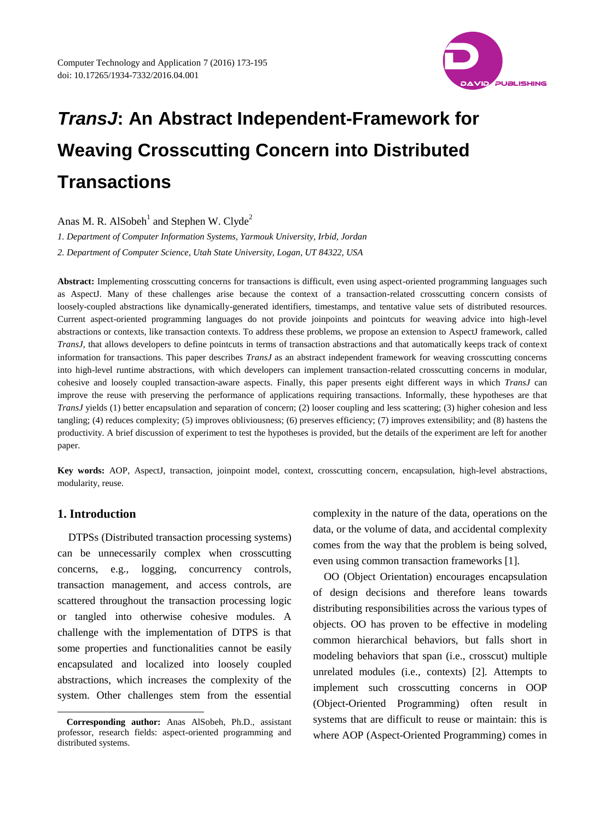

Anas M. R. AlSobeh<sup>1</sup> and Stephen W. Clyde<sup>2</sup>

*1. Department of Computer Information Systems, Yarmouk University, Irbid, Jordan*

*2. Department of Computer Science, Utah State University, Logan, UT 84322, USA*

**Abstract:** Implementing crosscutting concerns for transactions is difficult, even using aspect-oriented programming languages such as AspectJ. Many of these challenges arise because the context of a transaction-related crosscutting concern consists of loosely-coupled abstractions like dynamically-generated identifiers, timestamps, and tentative value sets of distributed resources. Current aspect-oriented programming languages do not provide joinpoints and pointcuts for weaving advice into high-level abstractions or contexts, like transaction contexts. To address these problems, we propose an extension to AspectJ framework, called *TransJ*, that allows developers to define pointcuts in terms of transaction abstractions and that automatically keeps track of context information for transactions. This paper describes *TransJ* as an abstract independent framework for weaving crosscutting concerns into high-level runtime abstractions, with which developers can implement transaction-related crosscutting concerns in modular, cohesive and loosely coupled transaction-aware aspects. Finally, this paper presents eight different ways in which *TransJ* can improve the reuse with preserving the performance of applications requiring transactions. Informally, these hypotheses are that *TransJ* yields (1) better encapsulation and separation of concern; (2) looser coupling and less scattering; (3) higher cohesion and less tangling; (4) reduces complexity; (5) improves obliviousness; (6) preserves efficiency; (7) improves extensibility; and (8) hastens the productivity. A brief discussion of experiment to test the hypotheses is provided, but the details of the experiment are left for another paper.

**Key words:** AOP, AspectJ, transaction, joinpoint model, context, crosscutting concern, encapsulation, high-level abstractions, modularity, reuse.

## **1. Introduction**

-

DTPSs (Distributed transaction processing systems) can be unnecessarily complex when crosscutting concerns, e.g., logging, concurrency controls, transaction management, and access controls, are scattered throughout the transaction processing logic or tangled into otherwise cohesive modules. A challenge with the implementation of DTPS is that some properties and functionalities cannot be easily encapsulated and localized into loosely coupled abstractions, which increases the complexity of the system. Other challenges stem from the essential complexity in the nature of the data, operations on the data, or the volume of data, and accidental complexity comes from the way that the problem is being solved, even using common transaction frameworks [\[1\].](#page-21-0)

OO (Object Orientation) encourages encapsulation of design decisions and therefore leans towards distributing responsibilities across the various types of objects. OO has proven to be effective in modeling common hierarchical behaviors, but falls short in modeling behaviors that span (i.e., crosscut) multiple unrelated modules (i.e., contexts) [\[2\].](#page-21-1) Attempts to implement such crosscutting concerns in OOP (Object-Oriented Programming) often result in systems that are difficult to reuse or maintain: this is where AOP (Aspect-Oriented Programming) comes in

**Corresponding author:** Anas AlSobeh, Ph.D., assistant professor, research fields: aspect-oriented programming and distributed systems.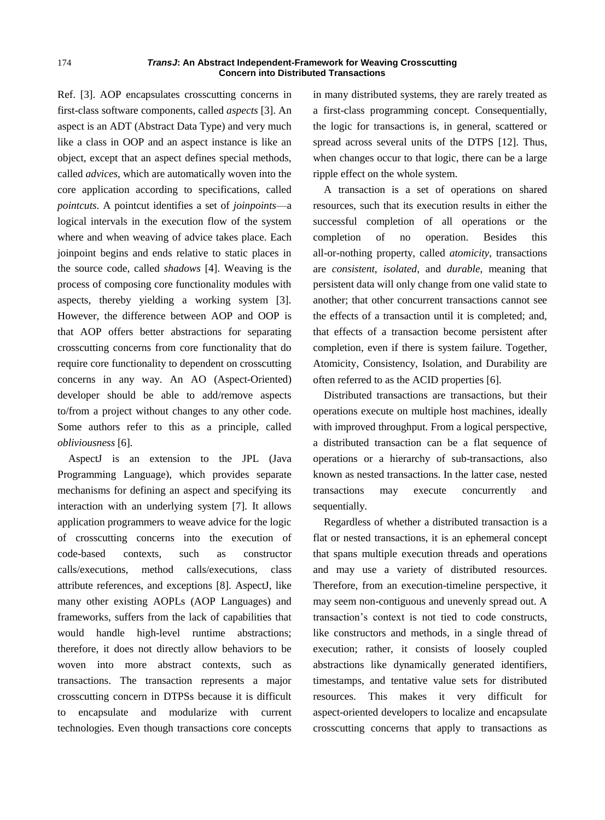Ref. [\[3\].](#page-21-2) AOP encapsulates crosscutting concerns in first-class software components, called *aspects* [\[3\].](#page-21-2) An aspect is an ADT (Abstract Data Type) and very much like a class in OOP and an aspect instance is like an object, except that an aspect defines special methods, called *advices*, which are automatically woven into the core application according to specifications, called *pointcuts*. A pointcut identifies a set of *joinpoints*—a logical intervals in the execution flow of the system where and when weaving of advice takes place. Each joinpoint begins and ends relative to static places in the source code, called *shadows* [\[4\].](#page-21-3) Weaving is the process of composing core functionality modules with aspects, thereby yielding a working system [3]. However, the difference between AOP and OOP is that AOP offers better abstractions for separating crosscutting concerns from core functionality that do require core functionality to dependent on crosscutting concerns in any way. An AO (Aspect-Oriented) developer should be able to add/remove aspects to/from a project without changes to any other code. Some authors refer to this as a principle, called *obliviousness* [\[6\].](#page-21-4)

AspectJ is an extension to the JPL (Java Programming Language), which provides separate mechanisms for defining an aspect and specifying its interaction with an underlying system [\[7\].](#page-21-5) It allows application programmers to weave advice for the logic of crosscutting concerns into the execution of code-based contexts, such as constructor calls/executions, method calls/executions, class attribute references, and exceptions [\[8\].](#page-21-6) AspectJ, like many other existing AOPLs (AOP Languages) and frameworks, suffers from the lack of capabilities that would handle high-level runtime abstractions; therefore, it does not directly allow behaviors to be woven into more abstract contexts, such as transactions. The transaction represents a major crosscutting concern in DTPSs because it is difficult to encapsulate and modularize with current technologies. Even though transactions core concepts in many distributed systems, they are rarely treated as a first-class programming concept. Consequentially, the logic for transactions is, in general, scattered or spread across several units of the DTPS [\[12\].](#page-21-7) Thus, when changes occur to that logic, there can be a large ripple effect on the whole system.

A transaction is a set of operations on shared resources, such that its execution results in either the successful completion of all operations or the completion of no operation. Besides this all-or-nothing property, called *atomicity*, transactions are *consistent*, *isolated*, and *durable*, meaning that persistent data will only change from one valid state to another; that other concurrent transactions cannot see the effects of a transaction until it is completed; and, that effects of a transaction become persistent after completion, even if there is system failure. Together, Atomicity, Consistency, Isolation, and Durability are often referred to as the ACID properties [\[6\].](#page-21-4)

Distributed transactions are transactions, but their operations execute on multiple host machines, ideally with improved throughput. From a logical perspective, a distributed transaction can be a flat sequence of operations or a hierarchy of sub-transactions, also known as nested transactions. In the latter case, nested transactions may execute concurrently and sequentially.

Regardless of whether a distributed transaction is a flat or nested transactions, it is an ephemeral concept that spans multiple execution threads and operations and may use a variety of distributed resources. Therefore, from an execution-timeline perspective, it may seem non-contiguous and unevenly spread out. A transaction's context is not tied to code constructs, like constructors and methods, in a single thread of execution; rather, it consists of loosely coupled abstractions like dynamically generated identifiers, timestamps, and tentative value sets for distributed resources. This makes it very difficult for aspect-oriented developers to localize and encapsulate crosscutting concerns that apply to transactions as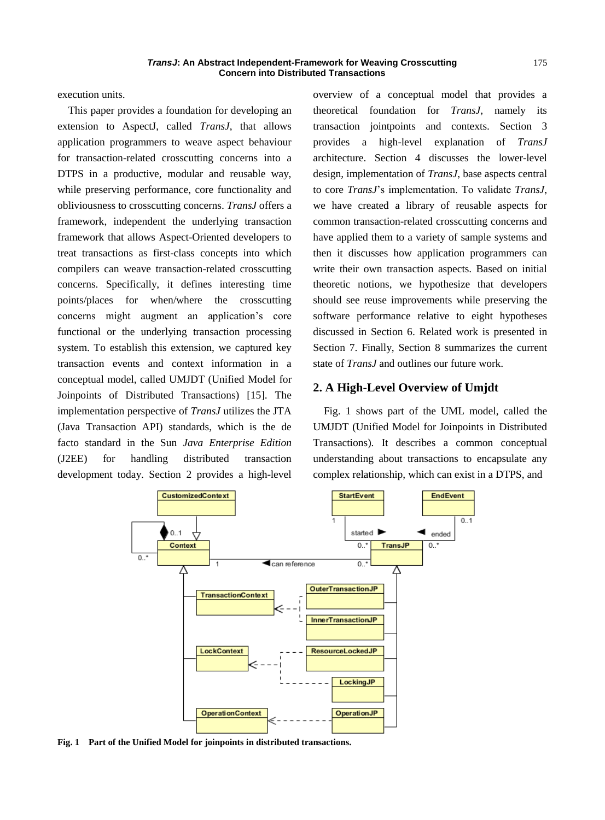execution units.

This paper provides a foundation for developing an extension to AspectJ, called *TransJ*, that allows application programmers to weave aspect behaviour for transaction-related crosscutting concerns into a DTPS in a productive, modular and reusable way, while preserving performance, core functionality and obliviousness to crosscutting concerns. *TransJ* offers a framework, independent the underlying transaction framework that allows Aspect-Oriented developers to treat transactions as first-class concepts into which compilers can weave transaction-related crosscutting concerns. Specifically, it defines interesting time points/places for when/where the crosscutting concerns might augment an application's core functional or the underlying transaction processing system. To establish this extension, we captured key transaction events and context information in a conceptual model, called UMJDT (Unified Model for Joinpoints of Distributed Transactions) [\[15\].](#page-22-0) The implementation perspective of *TransJ* utilizes the JTA (Java Transaction API) standards, which is the de facto standard in the Sun *Java Enterprise Edition* (J2EE) for handling distributed transaction development today. Section 2 provides a high-level overview of a conceptual model that provides a theoretical foundation for *TransJ*, namely its transaction jointpoints and contexts. Section 3 provides a high-level explanation of *TransJ* architecture. Section 4 discusses the lower-level design, implementation of *TransJ*, base aspects central to core *TransJ*'s implementation. To validate *TransJ*, we have created a library of reusable aspects for common transaction-related crosscutting concerns and have applied them to a variety of sample systems and then it discusses how application programmers can write their own transaction aspects. Based on initial theoretic notions, we hypothesize that developers should see reuse improvements while preserving the software performance relative to eight hypotheses discussed in Section 6. Related work is presented in Section 7. Finally, Section 8 summarizes the current state of *TransJ* and outlines our future work.

## **2. A High-Level Overview of Umjdt**

Fig. 1 shows part of the UML model, called the UMJDT (Unified Model for Joinpoints in Distributed Transactions). It describes a common conceptual understanding about transactions to encapsulate any complex relationship, which can exist in a DTPS, and



**Fig. 1 Part of the Unified Model for joinpoints in distributed transactions.**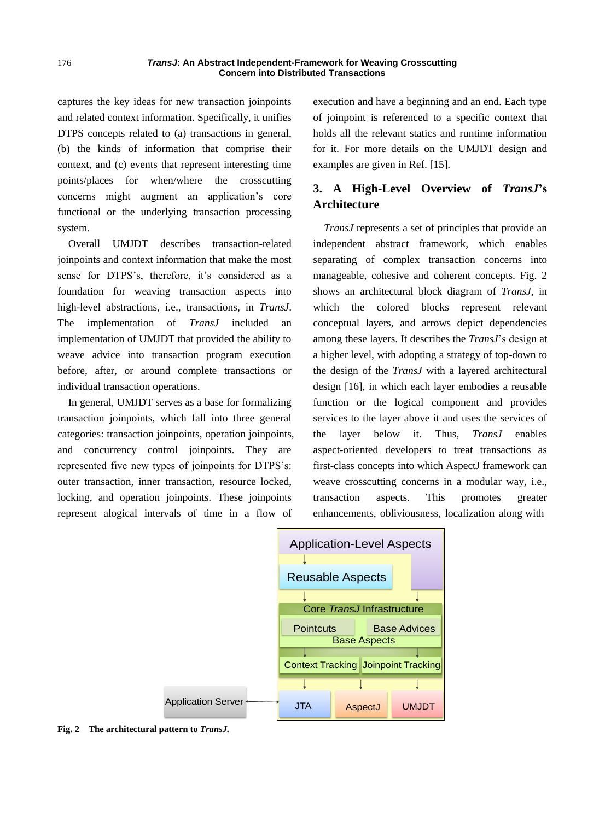captures the key ideas for new transaction joinpoints and related context information. Specifically, it unifies DTPS concepts related to (a) transactions in general, (b) the kinds of information that comprise their context, and (c) events that represent interesting time points/places for when/where the crosscutting concerns might augment an application's core functional or the underlying transaction processing system.

Overall UMJDT describes transaction-related joinpoints and context information that make the most sense for DTPS's, therefore, it's considered as a foundation for weaving transaction aspects into high-level abstractions, i.e., transactions, in *TransJ*. The implementation of *TransJ* included an implementation of UMJDT that provided the ability to weave advice into transaction program execution before, after, or around complete transactions or individual transaction operations.

In general, UMJDT serves as a base for formalizing transaction joinpoints, which fall into three general categories: transaction joinpoints, operation joinpoints, and concurrency control joinpoints. They are represented five new types of joinpoints for DTPS's: outer transaction, inner transaction, resource locked, locking, and operation joinpoints. These joinpoints represent alogical intervals of time in a flow of

execution and have a beginning and an end. Each type of joinpoint is referenced to a specific context that holds all the relevant statics and runtime information for it. For more details on the UMJDT design and examples are given in Ref. [\[15\].](#page-22-0)

# **3. A High-Level Overview of** *TransJ***'s Architecture**

*TransJ* represents a set of principles that provide an independent abstract framework, which enables separating of complex transaction concerns into manageable, cohesive and coherent concepts. Fig. 2 shows an architectural block diagram of *TransJ*, in which the colored blocks represent relevant conceptual layers, and arrows depict dependencies among these layers. It describes the *TransJ*'s design at a higher level, with adopting a strategy of top-down to the design of the *TransJ* with a layered architectural design [\[16\],](#page-22-1) in which each layer embodies a reusable function or the logical component and provides services to the layer above it and uses the services of the layer below it. Thus, *TransJ* enables aspect-oriented developers to treat transactions as first-class concepts into which AspectJ framework can weave crosscutting concerns in a modular way, i.e., transaction aspects. This promotes greater enhancements, obliviousness, localization along with



**Fig. 2 The architectural pattern to** *TransJ.*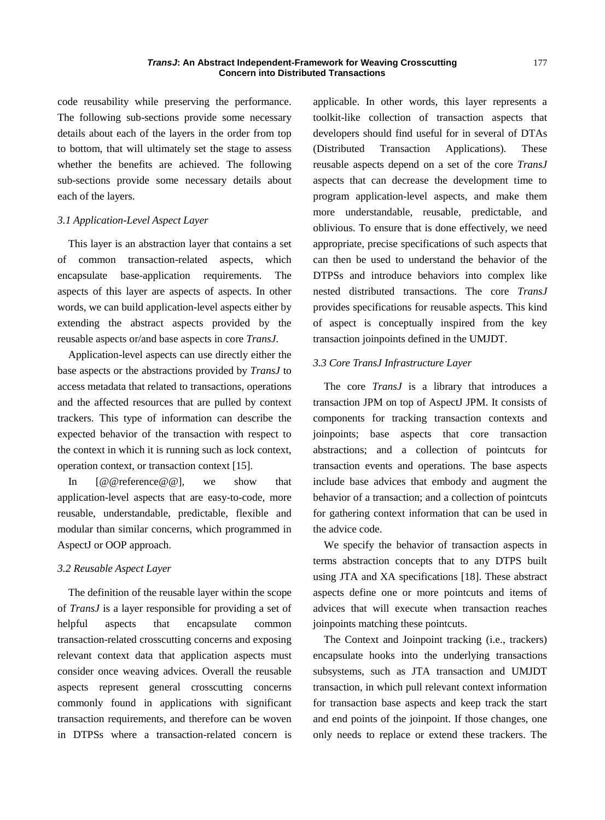code reusability while preserving the performance. The following sub-sections provide some necessary details about each of the layers in the order from top to bottom, that will ultimately set the stage to assess whether the benefits are achieved. The following sub-sections provide some necessary details about each of the layers.

## *3.1 Application-Level Aspect Layer*

This layer is an abstraction layer that contains a set of common transaction-related aspects, which encapsulate base-application requirements. The aspects of this layer are aspects of aspects. In other words, we can build application-level aspects either by extending the abstract aspects provided by the reusable aspects or/and base aspects in core *TransJ*.

Application-level aspects can use directly either the base aspects or the abstractions provided by *TransJ* to access metadata that related to transactions, operations and the affected resources that are pulled by context trackers. This type of information can describe the expected behavior of the transaction with respect to the context in which it is running such as lock context, operation context, or transaction contex[t \[15\].](#page-22-0)

In [@@reference@@], we show that application-level aspects that are easy-to-code, more reusable, understandable, predictable, flexible and modular than similar concerns, which programmed in AspectJ or OOP approach.

#### *3.2 Reusable Aspect Layer*

The definition of the reusable layer within the scope of *TransJ* is a layer responsible for providing a set of helpful aspects that encapsulate common transaction-related crosscutting concerns and exposing relevant context data that application aspects must consider once weaving advices. Overall the reusable aspects represent general crosscutting concerns commonly found in applications with significant transaction requirements, and therefore can be woven in DTPSs where a transaction-related concern is applicable. In other words, this layer represents a toolkit-like collection of transaction aspects that developers should find useful for in several of DTAs (Distributed Transaction Applications). These reusable aspects depend on a set of the core *TransJ* aspects that can decrease the development time to program application-level aspects, and make them more understandable, reusable, predictable, and oblivious. To ensure that is done effectively, we need appropriate, precise specifications of such aspects that can then be used to understand the behavior of the DTPSs and introduce behaviors into complex like nested distributed transactions. The core *TransJ* provides specifications for reusable aspects. This kind of aspect is conceptually inspired from the key transaction joinpoints defined in the UMJDT.

## *3.3 Core TransJ Infrastructure Layer*

The core *TransJ* is a library that introduces a transaction JPM on top of AspectJ JPM. It consists of components for tracking transaction contexts and joinpoints; base aspects that core transaction abstractions; and a collection of pointcuts for transaction events and operations. The base aspects include base advices that embody and augment the behavior of a transaction; and a collection of pointcuts for gathering context information that can be used in the advice code.

We specify the behavior of transaction aspects in terms abstraction concepts that to any DTPS built using JTA and XA specifications [\[18\].](#page-22-2) These abstract aspects define one or more pointcuts and items of advices that will execute when transaction reaches joinpoints matching these pointcuts.

The Context and Joinpoint tracking (i.e., trackers) encapsulate hooks into the underlying transactions subsystems, such as JTA transaction and UMJDT transaction, in which pull relevant context information for transaction base aspects and keep track the start and end points of the joinpoint. If those changes, one only needs to replace or extend these trackers. The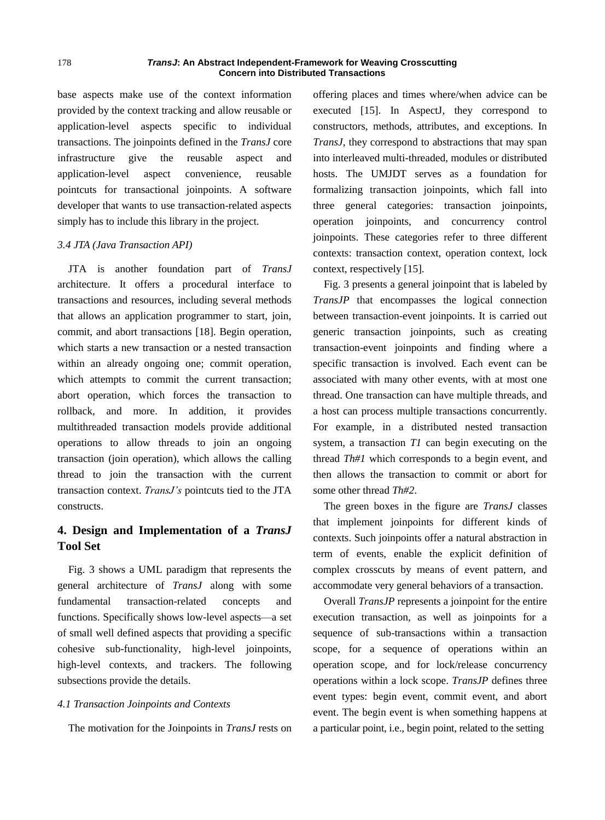base aspects make use of the context information provided by the context tracking and allow reusable or application-level aspects specific to individual transactions. The joinpoints defined in the *TransJ* core infrastructure give the reusable aspect and application-level aspect convenience, reusable pointcuts for transactional joinpoints. A software developer that wants to use transaction-related aspects simply has to include this library in the project.

#### *3.4 JTA (Java Transaction API)*

JTA is another foundation part of *TransJ* architecture. It offers a procedural interface to transactions and resources, including several methods that allows an application programmer to start, join, commit, and abort transactions [\[18\].](#page-22-2) Begin operation, which starts a new transaction or a nested transaction within an already ongoing one; commit operation, which attempts to commit the current transaction; abort operation, which forces the transaction to rollback, and more. In addition, it provides multithreaded transaction models provide additional operations to allow threads to join an ongoing transaction (join operation), which allows the calling thread to join the transaction with the current transaction context. *TransJ's* pointcuts tied to the JTA constructs.

## **4. Design and Implementation of a** *TransJ* **Tool Set**

Fig. 3 shows a UML paradigm that represents the general architecture of *TransJ* along with some fundamental transaction-related concepts and functions. Specifically shows low-level aspects—a set of small well defined aspects that providing a specific cohesive sub-functionality, high-level joinpoints, high-level contexts, and trackers. The following subsections provide the details.

## *4.1 Transaction Joinpoints and Contexts*

The motivation for the Joinpoints in *TransJ* rests on

offering places and times where/when advice can be executed [15]. In AspectJ, they correspond to constructors, methods, attributes, and exceptions. In *TransJ*, they correspond to abstractions that may span into interleaved multi-threaded, modules or distributed hosts. The UMJDT serves as a foundation for formalizing transaction joinpoints, which fall into three general categories: transaction joinpoints, operation joinpoints, and concurrency control joinpoints. These categories refer to three different contexts: transaction context, operation context, lock context, respectively [\[15\].](#page-22-0)

Fig. 3 presents a general joinpoint that is labeled by *TransJP* that encompasses the logical connection between transaction-event joinpoints. It is carried out generic transaction joinpoints, such as creating transaction-event joinpoints and finding where a specific transaction is involved. Each event can be associated with many other events, with at most one thread. One transaction can have multiple threads, and a host can process multiple transactions concurrently. For example, in a distributed nested transaction system, a transaction *T1* can begin executing on the thread *Th#1* which corresponds to a begin event, and then allows the transaction to commit or abort for some other thread *Th#2*.

The green boxes in the figure are *TransJ* classes that implement joinpoints for different kinds of contexts. Such joinpoints offer a natural abstraction in term of events, enable the explicit definition of complex crosscuts by means of event pattern, and accommodate very general behaviors of a transaction.

Overall *TransJP* represents a joinpoint for the entire execution transaction, as well as joinpoints for a sequence of sub-transactions within a transaction scope, for a sequence of operations within an operation scope, and for lock/release concurrency operations within a lock scope. *TransJP* defines three event types: begin event, commit event, and abort event. The begin event is when something happens at a particular point, i.e., begin point, related to the setting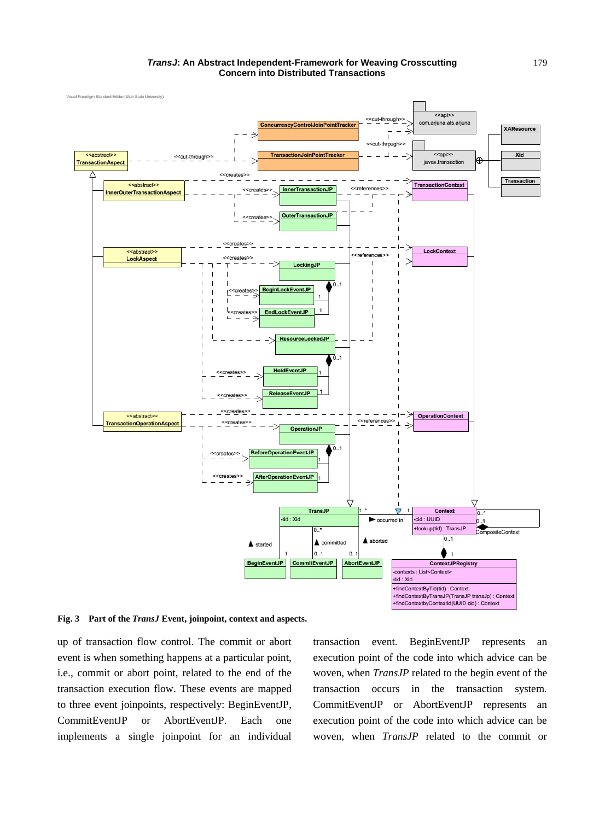

#### **Fig. 3 Part of the** *TransJ* **Event, joinpoint, context and aspects.**

up of transaction flow control. The commit or abort event is when something happens at a particular point, i.e., commit or abort point, related to the end of the transaction execution flow. These events are mapped to three event joinpoints, respectively: BeginEventJP, CommitEventJP or AbortEventJP. Each one implements a single joinpoint for an individual transaction event. BeginEventJP represents an execution point of the code into which advice can be woven, when *TransJP* related to the begin event of the transaction occurs in the transaction system. CommitEventJP or AbortEventJP represents an execution point of the code into which advice can be woven, when *TransJP* related to the commit or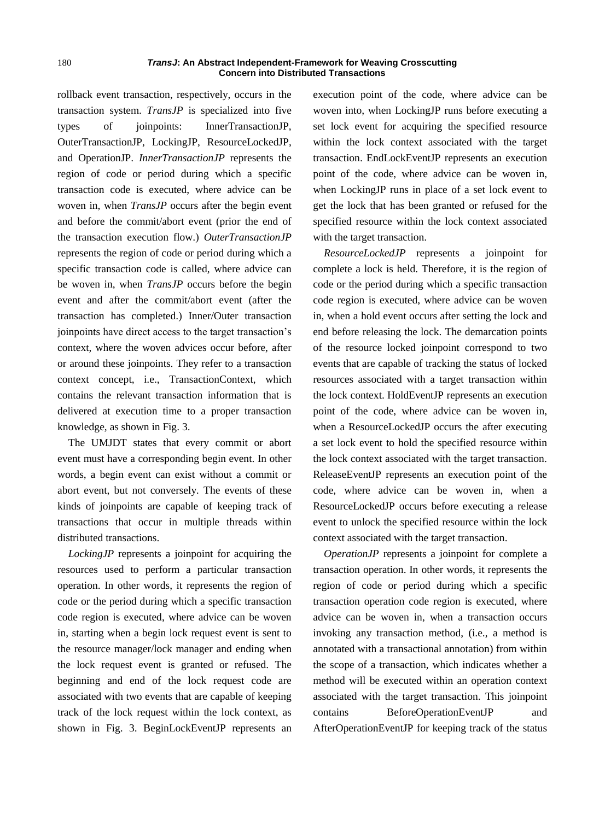rollback event transaction, respectively, occurs in the transaction system. *TransJP* is specialized into five types of joinpoints: InnerTransactionJP, OuterTransactionJP, LockingJP, ResourceLockedJP, and OperationJP. *InnerTransactionJP* represents the region of code or period during which a specific transaction code is executed, where advice can be woven in, when *TransJP* occurs after the begin event and before the commit/abort event (prior the end of the transaction execution flow.) *OuterTransactionJP* represents the region of code or period during which a specific transaction code is called, where advice can be woven in, when *TransJP* occurs before the begin event and after the commit/abort event (after the transaction has completed.) Inner/Outer transaction joinpoints have direct access to the target transaction's context, where the woven advices occur before, after or around these joinpoints. They refer to a transaction context concept, i.e., TransactionContext, which contains the relevant transaction information that is delivered at execution time to a proper transaction knowledge, as shown in Fig. 3.

The UMJDT states that every commit or abort event must have a corresponding begin event. In other words, a begin event can exist without a commit or abort event, but not conversely. The events of these kinds of joinpoints are capable of keeping track of transactions that occur in multiple threads within distributed transactions.

*LockingJP* represents a joinpoint for acquiring the resources used to perform a particular transaction operation. In other words, it represents the region of code or the period during which a specific transaction code region is executed, where advice can be woven in, starting when a begin lock request event is sent to the resource manager/lock manager and ending when the lock request event is granted or refused. The beginning and end of the lock request code are associated with two events that are capable of keeping track of the lock request within the lock context, as shown in Fig. 3. BeginLockEventJP represents an execution point of the code, where advice can be woven into, when LockingJP runs before executing a set lock event for acquiring the specified resource within the lock context associated with the target transaction. EndLockEventJP represents an execution point of the code, where advice can be woven in, when LockingJP runs in place of a set lock event to get the lock that has been granted or refused for the specified resource within the lock context associated with the target transaction.

*ResourceLockedJP* represents a joinpoint for complete a lock is held. Therefore, it is the region of code or the period during which a specific transaction code region is executed, where advice can be woven in, when a hold event occurs after setting the lock and end before releasing the lock. The demarcation points of the resource locked joinpoint correspond to two events that are capable of tracking the status of locked resources associated with a target transaction within the lock context. HoldEventJP represents an execution point of the code, where advice can be woven in, when a ResourceLockedJP occurs the after executing a set lock event to hold the specified resource within the lock context associated with the target transaction. ReleaseEventJP represents an execution point of the code, where advice can be woven in, when a ResourceLockedJP occurs before executing a release event to unlock the specified resource within the lock context associated with the target transaction.

*OperationJP* represents a joinpoint for complete a transaction operation. In other words, it represents the region of code or period during which a specific transaction operation code region is executed, where advice can be woven in, when a transaction occurs invoking any transaction method, (i.e., a method is annotated with a transactional annotation) from within the scope of a transaction, which indicates whether a method will be executed within an operation context associated with the target transaction. This joinpoint contains BeforeOperationEventJP and AfterOperationEventJP for keeping track of the status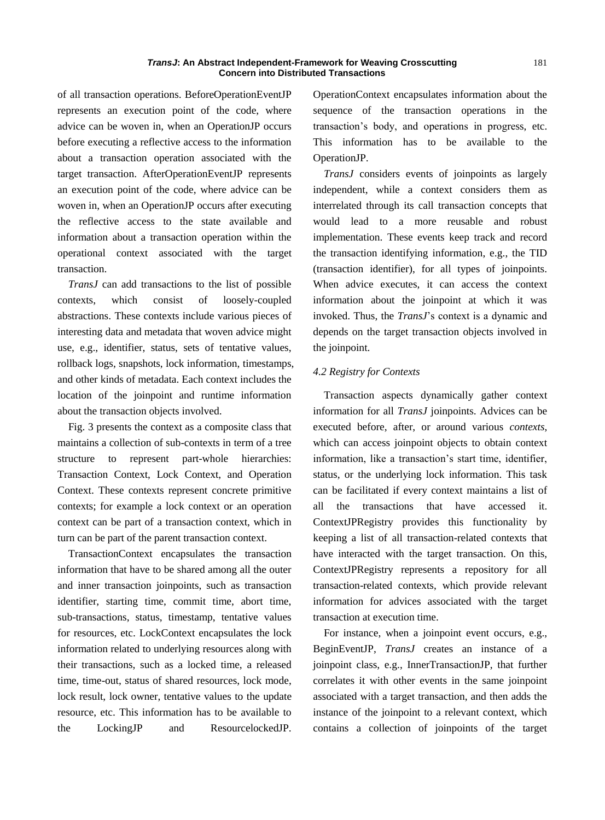of all transaction operations. BeforeOperationEventJP represents an execution point of the code, where advice can be woven in, when an OperationJP occurs before executing a reflective access to the information about a transaction operation associated with the target transaction. AfterOperationEventJP represents an execution point of the code, where advice can be woven in, when an OperationJP occurs after executing the reflective access to the state available and information about a transaction operation within the operational context associated with the target transaction.

*TransJ* can add transactions to the list of possible contexts, which consist of loosely-coupled abstractions. These contexts include various pieces of interesting data and metadata that woven advice might use, e.g., identifier, status, sets of tentative values, rollback logs, snapshots, lock information, timestamps, and other kinds of metadata. Each context includes the location of the joinpoint and runtime information about the transaction objects involved.

Fig. 3 presents the context as a composite class that maintains a collection of sub-contexts in term of a tree structure to represent part-whole hierarchies: Transaction Context, Lock Context, and Operation Context. These contexts represent concrete primitive contexts; for example a lock context or an operation context can be part of a transaction context, which in turn can be part of the parent transaction context.

TransactionContext encapsulates the transaction information that have to be shared among all the outer and inner transaction joinpoints, such as transaction identifier, starting time, commit time, abort time, sub-transactions, status, timestamp, tentative values for resources, etc. LockContext encapsulates the lock information related to underlying resources along with their transactions, such as a locked time, a released time, time-out, status of shared resources, lock mode, lock result, lock owner, tentative values to the update resource, etc. This information has to be available to the LockingJP and ResourcelockedJP.

OperationContext encapsulates information about the sequence of the transaction operations in the transaction's body, and operations in progress, etc. This information has to be available to the OperationJP.

*TransJ* considers events of joinpoints as largely independent, while a context considers them as interrelated through its call transaction concepts that would lead to a more reusable and robust implementation. These events keep track and record the transaction identifying information, e.g., the TID (transaction identifier), for all types of joinpoints. When advice executes, it can access the context information about the joinpoint at which it was invoked. Thus, the *TransJ*'s context is a dynamic and depends on the target transaction objects involved in the joinpoint.

### *4.2 Registry for Contexts*

Transaction aspects dynamically gather context information for all *TransJ* joinpoints. Advices can be executed before, after, or around various *contexts*, which can access joinpoint objects to obtain context information, like a transaction's start time, identifier, status, or the underlying lock information. This task can be facilitated if every context maintains a list of all the transactions that have accessed it. ContextJPRegistry provides this functionality by keeping a list of all transaction-related contexts that have interacted with the target transaction. On this, ContextJPRegistry represents a repository for all transaction-related contexts, which provide relevant information for advices associated with the target transaction at execution time.

For instance, when a joinpoint event occurs, e.g., BeginEventJP, *TransJ* creates an instance of a joinpoint class, e.g., InnerTransactionJP, that further correlates it with other events in the same joinpoint associated with a target transaction, and then adds the instance of the joinpoint to a relevant context, which contains a collection of joinpoints of the target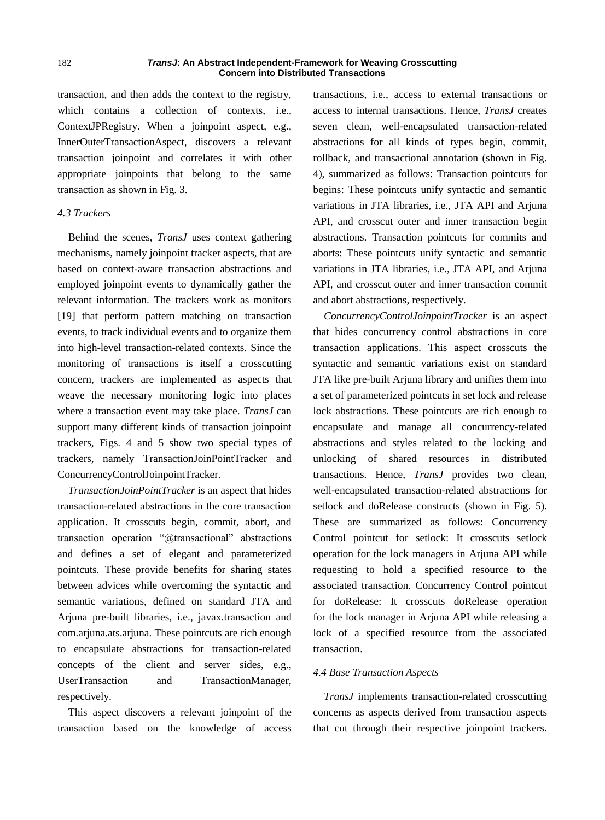transaction, and then adds the context to the registry, which contains a collection of contexts, i.e., ContextJPRegistry. When a joinpoint aspect, e.g., InnerOuterTransactionAspect, discovers a relevant transaction joinpoint and correlates it with other appropriate joinpoints that belong to the same transaction as shown in Fig. 3.

## *4.3 Trackers*

Behind the scenes, *TransJ* uses context gathering mechanisms, namely joinpoint tracker aspects, that are based on context-aware transaction abstractions and employed joinpoint events to dynamically gather the relevant information. The trackers work as monitors [\[19\]](#page-22-3) that perform pattern matching on transaction events, to track individual events and to organize them into high-level transaction-related contexts. Since the monitoring of transactions is itself a crosscutting concern, trackers are implemented as aspects that weave the necessary monitoring logic into places where a transaction event may take place. *TransJ* can support many different kinds of transaction joinpoint trackers, Figs. 4 and 5 show two special types of trackers, namely TransactionJoinPointTracker and ConcurrencyControlJoinpointTracker.

*TransactionJoinPointTracker* is an aspect that hides transaction-related abstractions in the core transaction application. It crosscuts begin, commit, abort, and transaction operation "@transactional" abstractions and defines a set of elegant and parameterized pointcuts. These provide benefits for sharing states between advices while overcoming the syntactic and semantic variations, defined on standard JTA and Arjuna pre-built libraries, i.e., javax.transaction and com.arjuna.ats.arjuna. These pointcuts are rich enough to encapsulate abstractions for transaction-related concepts of the client and server sides, e.g., UserTransaction and TransactionManager, respectively.

This aspect discovers a relevant joinpoint of the transaction based on the knowledge of access transactions, i.e., access to external transactions or access to internal transactions. Hence, *TransJ* creates seven clean, well-encapsulated transaction-related abstractions for all kinds of types begin, commit, rollback, and transactional annotation (shown in Fig. 4), summarized as follows: Transaction pointcuts for begins: These pointcuts unify syntactic and semantic variations in JTA libraries, i.e., JTA API and Arjuna API, and crosscut outer and inner transaction begin abstractions. Transaction pointcuts for commits and aborts: These pointcuts unify syntactic and semantic variations in JTA libraries, i.e., JTA API, and Arjuna API, and crosscut outer and inner transaction commit and abort abstractions, respectively.

*ConcurrencyControlJoinpointTracker* is an aspect that hides concurrency control abstractions in core transaction applications. This aspect crosscuts the syntactic and semantic variations exist on standard JTA like pre-built Arjuna library and unifies them into a set of parameterized pointcuts in set lock and release lock abstractions. These pointcuts are rich enough to encapsulate and manage all concurrency-related abstractions and styles related to the locking and unlocking of shared resources in distributed transactions. Hence, *TransJ* provides two clean, well-encapsulated transaction-related abstractions for setlock and doRelease constructs (shown in Fig. 5). These are summarized as follows: Concurrency Control pointcut for setlock: It crosscuts setlock operation for the lock managers in Arjuna API while requesting to hold a specified resource to the associated transaction. Concurrency Control pointcut for doRelease: It crosscuts doRelease operation for the lock manager in Arjuna API while releasing a lock of a specified resource from the associated transaction.

## *4.4 Base Transaction Aspects*

*TransJ* implements transaction-related crosscutting concerns as aspects derived from transaction aspects that cut through their respective joinpoint trackers.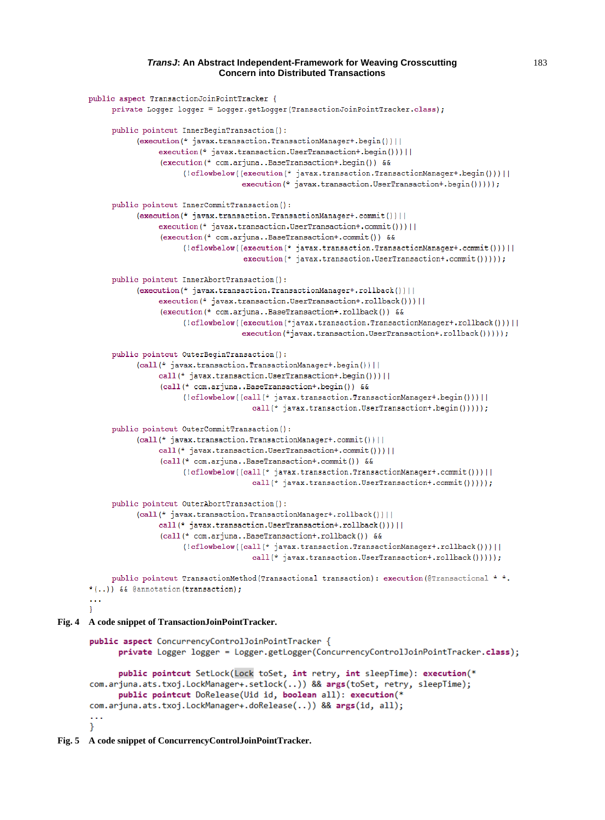```
public aspect TransactionJoinPointTracker {
            private Loqqer loqqer = Loqqer.qetLoqqer(TransactionJoinPointTracker.class);
            public pointcut InnerBeginTransaction():
                  (execution (* javax.transaction.TransactionManager+.begin()) | |
                       execution(* javax.transaction.UserTransaction+.begin()))||
                       (execution(* com.arjuna..BaseTransaction+.begin()) &&
                             (!cflowbelow((execution(* javax.transaction.TransactionManager+.begin()))||
                                          execution(* javax.transaction.UserTransaction+.begin()))));
            public pointcut InnerCommitTransaction():
                  (execution (* javax.transaction.TransactionManager+.commit()) | |
                       execution(* javax.transaction.UserTransaction+.commit()))||
                       (execution(* com.arjuna..BaseTransaction+.commit()) &&
                             (!(flowbelow((execution(* javax.transaction.TransactionManager+.commit())))
                                          execution(* javax.transaction.UserTransaction+.commit()))));
            public pointcut InnerAbortTransaction():
                  (execution(* javax.transaction.TransactionManager+.rollback()) | |
                       execution(* javax.transaction.UserTransaction+.rollback())) | |
                       (execution(* com.arjuna..BaseTransaction+.rollback()) &&
                             (!cflowbelow((execution(*javax.transaction.TransactionManager+.rollback())) | |
                                          execution(*javax.transaction.UserTransaction+.rollback()))));
            public pointcut OuterBeginTransaction():
                  (call (* javax.transaction.TransactionManager+.begin()) | |
                       call (* javax.transaction.UserTransaction+.begin())) | |
                       (call (* com.arjuna..BaseTransaction+.begin()) &&
                             (!cflowbelow((call(* javax.transaction.TransactionManager+.begin())) | |
                                            call (* javax.transaction.UserTransaction+.begin()))));
            public pointcut OuterCommitTransaction():
                  (call (* javax.transaction.TransactionManager+.commit()) | |
                       call (* javax.transaction.UserTransaction+.commit())) | |
                       (call (* com.arjuna..BaseTransaction+.commit()) &&
                             (!cflowbelow((call(* javax.transaction.TransactionManager+.commit())) | |
                                            call (* javax.transaction.UserTransaction+.commit()))));
            public pointcut OuterAbortTransaction():
                  (call (* javax.transaction.TransactionManager+.rollback()) | |
                       call (* javax.transaction.UserTransaction+.rollback())) | |
                       (call (* com.arjuna..BaseTransaction+.rollback()) &&
                             (!cflowbelow((call(* javax.transaction.TransactionManager+.rollback())) | |
                                            call (* javax.transaction.UserTransaction+.rollback()))));
            public pointcut TransactionMethod(Transactional transaction): execution(@Transactional * *.
       *(...)) && @annotation(transaction);
Fig. 4 A code snippet of TransactionJoinPointTracker.
       public aspect ConcurrencyControlJoinPointTracker {
              private Logger logger = Logger.getLogger(ConcurrencyControlJoinPointTracker.class);
              public pointcut SetLock(Lock toSet, int retry, int sleepTime): execution(*
       com.arjuna.ats.txoj.LockManager+.setlock(..)) && args(toSet, retry, sleepTime);
              public pointcut DoRelease(Uid id, boolean all): execution(*
       com.arjuna.ats.txoj.LockManager+.doRelease(..)) && args(id, all);
       \sim .
       ₹
```
**Fig. 5 A code snippet of ConcurrencyControlJoinPointTracker.**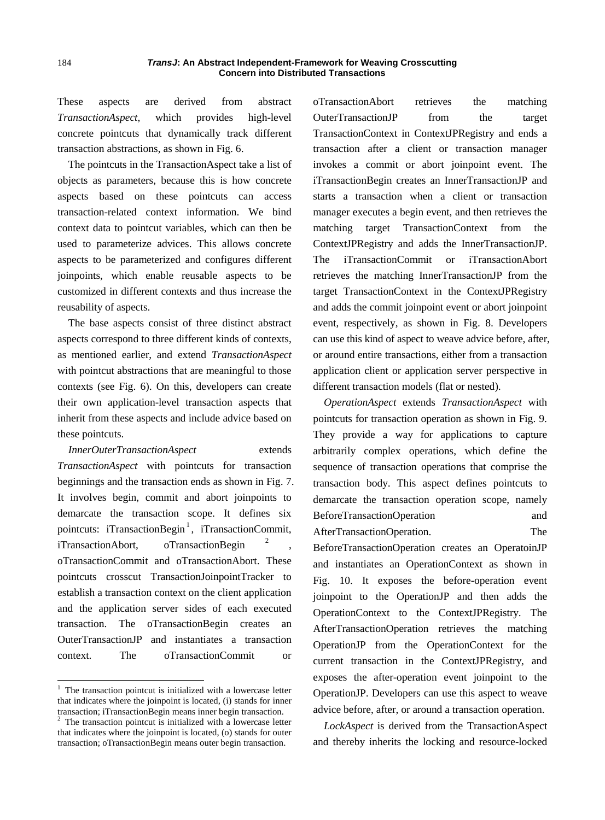These aspects are derived from abstract *TransactionAspect*, which provides high-level concrete pointcuts that dynamically track different transaction abstractions, as shown in Fig. 6.

The pointcuts in the TransactionAspect take a list of objects as parameters, because this is how concrete aspects based on these pointcuts can access transaction-related context information. We bind context data to pointcut variables, which can then be used to parameterize advices. This allows concrete aspects to be parameterized and configures different joinpoints, which enable reusable aspects to be customized in different contexts and thus increase the reusability of aspects.

The base aspects consist of three distinct abstract aspects correspond to three different kinds of contexts, as mentioned earlier, and extend *TransactionAspect* with pointcut abstractions that are meaningful to those contexts (see Fig. 6). On this, developers can create their own application-level transaction aspects that inherit from these aspects and include advice based on these pointcuts.

*InnerOuterTransactionAspect* extends *TransactionAspect* with pointcuts for transaction beginnings and the transaction ends as shown in Fig. 7. It involves begin, commit and abort joinpoints to demarcate the transaction scope. It defines six pointcuts: iTransactionBegin<sup>1</sup>, iTransactionCommit, iTransactionAbort, oTransactionBegin <sup>2</sup> , oTransactionCommit and oTransactionAbort. These pointcuts crosscut TransactionJoinpointTracker to establish a transaction context on the client application and the application server sides of each executed transaction. The oTransactionBegin creates an OuterTransactionJP and instantiates a transaction context. The oTransactionCommit or

-

oTransactionAbort retrieves the matching OuterTransactionJP from the target TransactionContext in ContextJPRegistry and ends a transaction after a client or transaction manager invokes a commit or abort joinpoint event. The iTransactionBegin creates an InnerTransactionJP and starts a transaction when a client or transaction manager executes a begin event, and then retrieves the matching target TransactionContext from the ContextJPRegistry and adds the InnerTransactionJP. The iTransactionCommit or iTransactionAbort retrieves the matching InnerTransactionJP from the target TransactionContext in the ContextJPRegistry and adds the commit joinpoint event or abort joinpoint event, respectively, as shown in Fig. 8. Developers can use this kind of aspect to weave advice before, after, or around entire transactions, either from a transaction application client or application server perspective in different transaction models (flat or nested).

*OperationAspect* extends *TransactionAspect* with pointcuts for transaction operation as shown in Fig. 9. They provide a way for applications to capture arbitrarily complex operations, which define the sequence of transaction operations that comprise the transaction body. This aspect defines pointcuts to demarcate the transaction operation scope, namely BeforeTransactionOperation and AfterTransactionOperation. The BeforeTransactionOperation creates an OperatoinJP and instantiates an OperationContext as shown in Fig. 10. It exposes the before-operation event joinpoint to the OperationJP and then adds the OperationContext to the ContextJPRegistry. The AfterTransactionOperation retrieves the matching OperationJP from the OperationContext for the current transaction in the ContextJPRegistry, and exposes the after-operation event joinpoint to the OperationJP. Developers can use this aspect to weave advice before, after, or around a transaction operation.

*LockAspect* is derived from the TransactionAspect and thereby inherits the locking and resource-locked

 $1$  The transaction pointcut is initialized with a lowercase letter that indicates where the joinpoint is located, (i) stands for inner transaction; iTransactionBegin means inner begin transaction.

 $2$  The transaction pointcut is initialized with a lowercase letter that indicates where the joinpoint is located, (o) stands for outer transaction; oTransactionBegin means outer begin transaction.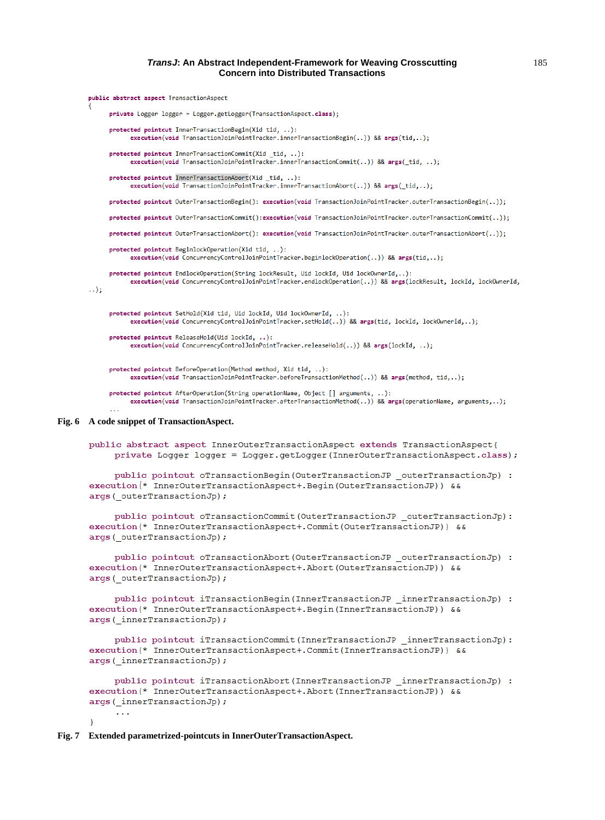```
public abstract aspect TransactionAspect
            private Logger logger = Logger.getLogger(TransactionAspect.class);
            protected pointcut InnerTransactionBegin(Xid tid, ..):
                 execution(void TransactionJoinPointTracker.innerTransactionBegin(..)) && args(tid,..);
            protected pointcut InnerTransactionCommit(Xid _tid, ..):
                 execution(void TransactionJoinPointTraceer.innerTransactionCount(...)) && args( tid, ...);
            protected pointcut InnerTransactionAbort(Xid _tid, ..):
                 execution(void TransactionJoinPointTracker.innerTransactionAbort(..)) && args(_tid,..);
            protected pointcut OuterTransactionBegin(): execution(void TransactionJoinPointTracker.outerTransactionBegin(..));
            protected pointcut OuterTransactionCommit():execution(void TransactionJoinPointTracker.outerTransactionCommit(..));
            protected pointcut OuterTransactionAbort(): execution(void TransactionJoinPointTracker.outerTransactionAbort(..));
            protected pointcut BeginlockOperation(Xid tid, ..):
                 execution(void ConcurrencyControlloinPointTracker.beginlockOperation(..)) && args(tid,..);
            protected pointcut EndlockOperation(String lockResult, Uid lockId, Uid lockOwnerId,..):
                 execution(void ConcurrencyControlJoinPointTracker.endlockOperation(..)) && args(lockResult, lockId, lockOwnerId,
       \ldots):
            protected pointcut SetHold(Xid tid, Uid lockId, Uid lockOwnerId, ..):
                 execution(void ConcurrencyControlJoinPointTracker.setHold(..)) && args(tid, lockId, lockOwnerId,..);
            protected pointcut ReleaseHold(Uid lockId, ..):
                 execution(void ConcurrencyControlloinPointTracker.releaseHold(..)) && args(lockId, ..);
            protected pointcut BeforeOperation(Method method, Xid tid, ..):
                 execution(void TransactionJoinPointTracker.beforeTransactionMethod(..)) && args(method, tid,..);
            protected pointcut AfterOperation(String operationName, Object [] arguments, ..):
                 execution(void TransactionJoinPointTracker.afterTransactionMethod(..)) && args(operationName, arguments,..);
Fig. 6 A code snippet of TransactionAspect.
       public abstract aspect InnerOuterTransactionAspect extends TransactionAspect{
             private Logger logger = Logger.getLogger(InnerOuterTransactionAspect.class);
             public pointcut oTransactionBegin (OuterTransactionJP outerTransactionJp) :
       execution (* InnerOuterTransactionAspect+.Begin (OuterTransactionJP)) &&
       args (outerTransactionJp);
             public pointcut oTransactionCommit (OuterTransactionJP outerTransactionJp) :
       execution(* InnerOuterTransactionAspect+.Commit(OuterTransactionJP)) &&
       args (outerTransactionJp);
             public pointcut oTransactionAbort (OuterTransactionJP outerTransactionJp) :
       execution(* InnerOuterTransactionAspect+.Abort(OuterTransactionJP)) &&
       args (outerTransactionJp);
             public pointcut iTransactionBegin(InnerTransactionJP innerTransactionJp) :
       execution (* InnerOuterTransactionAspect+.Begin (InnerTransactionJP)) &&
       args ( innerTransactionJp);
             public pointcut iTransactionCommit(InnerTransactionJP innerTransactionJp):
       execution (* InnerOuterTransactionAspect+.Commit (InnerTransactionJP)) &&
       args ( innerTransactionJp);
             public pointcut iTransactionAbort (InnerTransactionJP innerTransactionJp) :
       execution (* InnerOuterTransactionAspect+.Abort (InnerTransactionJP)) &&
       args(innerTransactionJp);
```

```
-1
```
**Fig. 7 Extended parametrized-pointcuts in InnerOuterTransactionAspect.**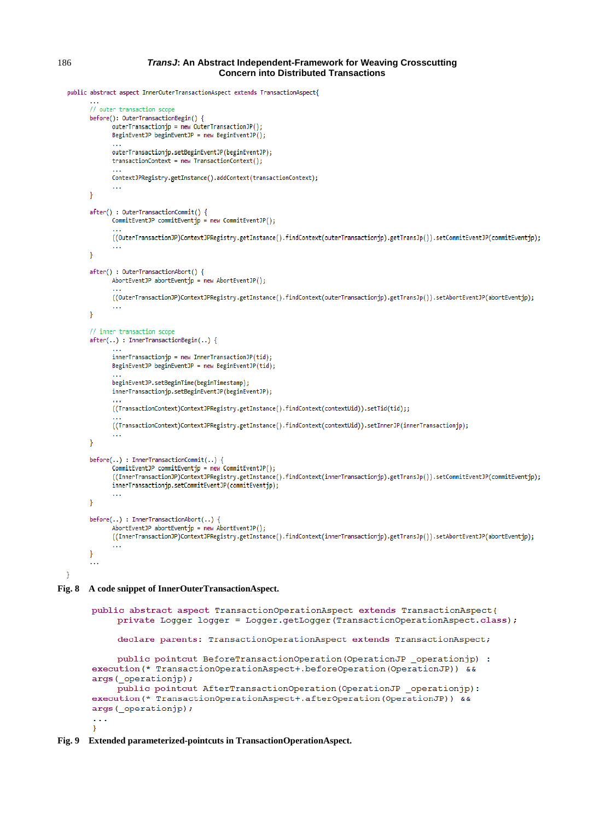```
public abstract aspect InnerOuterTransactionAspect extends TransactionAspect{
         // outer transaction scope
         before(): OuterTransactionBegin() {
               outerTransactionjp = new OuterTransactionJP();
               BeginEventJP beginEventJP = new BeginEventJP();
               outerTransactionjp.setBeginEventJP(beginEventJP);
               transactionContext = new TransactionContext();
               ContextJPRegistry.getInstance().addContext(transactionContext);
               \sim\overline{\phantom{a}}after(): OuterTransactionCommit() {
               CommitEventJP commitEventjp = new CommitEventJP();
               ((OuterTransactionJP)ContextJPRegistry.getInstance().findContext(outerTransactionjp).getTransJp()).setCommitEventJP(commitEventjp);
               \sim . . .
         \overline{\mathcal{X}}after() : OuterTransactionAbort() {
               AbortEventJP abortEventjp = new AbortEventJP();
               ((OuterTransactionJP)ContextJPRegistry.getInstance().findContext(outerTransactionjp).getTransJp()).setAbortEventJP(abortEventjp);
               \ldots\mathcal{P}// inner transaction scope
         after(...) : InnerTransactionBegin(...) {
               innerTransactionjp = new InnerTransactionJP(tid);
               BeginEventJP beginEventJP = new BeginEventJP(tid);
               beginEventJP.setBeginTime(beginTimestamp);
               innerTransactionjp.setBeginEventJP(beginEventJP);
               ((TransactionContext)ContextJPRegistry.getInstance().findContext(contextUid)).setTid(tid);;
               ((TransactionContext)ContextJPRegistry.getInstance().findContext(contextUid)).setInnerJP(innerTransactionjp);
               \sim . .
         \overline{\phantom{a}}before( ...): InnerTransactionCommit(.) {
               CommitEventJP commitEventjp = new CommitEventJP();
               ((InnerTransactionJP)ContextJPRegistry.getInstance().findContext(innerTransactionjp).getTransJp()).setCommitEventJP(commitEventjp);
               innerTransactionjp.setCommitEventJP(commitEventjp);
               \ddotsc\overline{\mathcal{X}}before(...): InnerTransactionAbort(.)}
               AbortEventJP abortEventip = new AbortEventJP();
               ((InnerTransactionJP)ContextJPRegistry.getInstance().findContext(innerTransactionjp).getTransJp()).setAbortEventJP(abortEventjp);
         \mathcal{F}J,
Fig. 8 A code snippet of InnerOuterTransactionAspect.
         public abstract aspect TransactionOperationAspect extends TransactionAspect{
                 private Logger logger = Logger.getLogger(TransactionOperationAspect.class);
                 declare parents: TransactionOperationAspect extends TransactionAspect;
                public pointcut BeforeTransactionOperation(OperationJP operationjp) :
         execution (* TransactionOperationAspect+.beforeOperation(OperationJP)) &&
         args (operationjp);
                public pointcut AfterTransactionOperation(OperationJP operationjp):
```
args (operationjp); 49.9  $\overline{1}$ 

execution (\* TransactionOperationAspect+.afterOperation (OperationJP)) & &

**Fig. 9 Extended parameterized-pointcuts in TransactionOperationAspect.**

186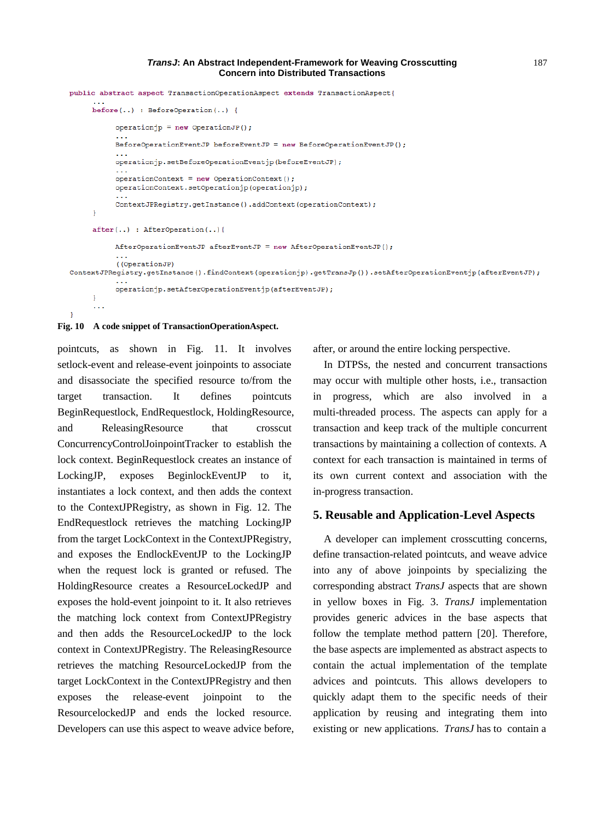```
public abstract aspect TransactionOperationAspect extends TransactionAspect{
     before(...): BeforeOperation(..) {
           operationjp = new OperationJP();
           BeforeOperationEventJP beforeEventJP = new BeforeOperationEventJP();
           operationjp.setBeforeOperationEventjp(beforeEventJP);
           \sim \simoperationContext = new OperationContext();
           operationContext.setOperationjp(operationjp);
           ContextJPRegistry.getInstance().addContext(operationContext);
     \overline{\mathbf{1}}after(...): AfterOperation(..){
           AfterOperationEventJP afterEventJP = new AfterOperationEventJP();
           ((OperationJP)
\verb|ContextJPRegistry.getInstance() .findContext(operationjp).getTransJp()) . setAfterOperationEventjp (afterEventJP);in a
           operationjp.setAfterOperationEventjp(afterEventJP);
     \, }
\overline{\phantom{a}}
```
#### **Fig. 10 A code snippet of TransactionOperationAspect.**

pointcuts, as shown in Fig. 11. It involves setlock-event and release-event joinpoints to associate and disassociate the specified resource to/from the target transaction. It defines pointcuts BeginRequestlock, EndRequestlock, HoldingResource, and ReleasingResource that crosscut ConcurrencyControlJoinpointTracker to establish the lock context. BeginRequestlock creates an instance of LockingJP, exposes BeginlockEventJP to it, instantiates a lock context, and then adds the context to the ContextJPRegistry, as shown in Fig. 12. The EndRequestlock retrieves the matching LockingJP from the target LockContext in the ContextJPRegistry, and exposes the EndlockEventJP to the LockingJP when the request lock is granted or refused. The HoldingResource creates a ResourceLockedJP and exposes the hold-event joinpoint to it. It also retrieves the matching lock context from ContextJPRegistry and then adds the ResourceLockedJP to the lock context in ContextJPRegistry. The ReleasingResource retrieves the matching ResourceLockedJP from the target LockContext in the ContextJPRegistry and then exposes the release-event joinpoint to the ResourcelockedJP and ends the locked resource. Developers can use this aspect to weave advice before, after, or around the entire locking perspective.

In DTPSs, the nested and concurrent transactions may occur with multiple other hosts, i.e., transaction in progress, which are also involved in a multi-threaded process. The aspects can apply for a transaction and keep track of the multiple concurrent transactions by maintaining a collection of contexts. A context for each transaction is maintained in terms of its own current context and association with the in-progress transaction.

## **5. Reusable and Application-Level Aspects**

A developer can implement crosscutting concerns, define transaction-related pointcuts, and weave advice into any of above joinpoints by specializing the corresponding abstract *TransJ* aspects that are shown in yellow boxes in Fig. 3. *TransJ* implementation provides generic advices in the base aspects that follow the template method pattern [\[20\].](#page-22-4) Therefore, the base aspects are implemented as abstract aspects to contain the actual implementation of the template advices and pointcuts. This allows developers to quickly adapt them to the specific needs of their application by reusing and integrating them into existing or new applications. *TransJ* has to contain a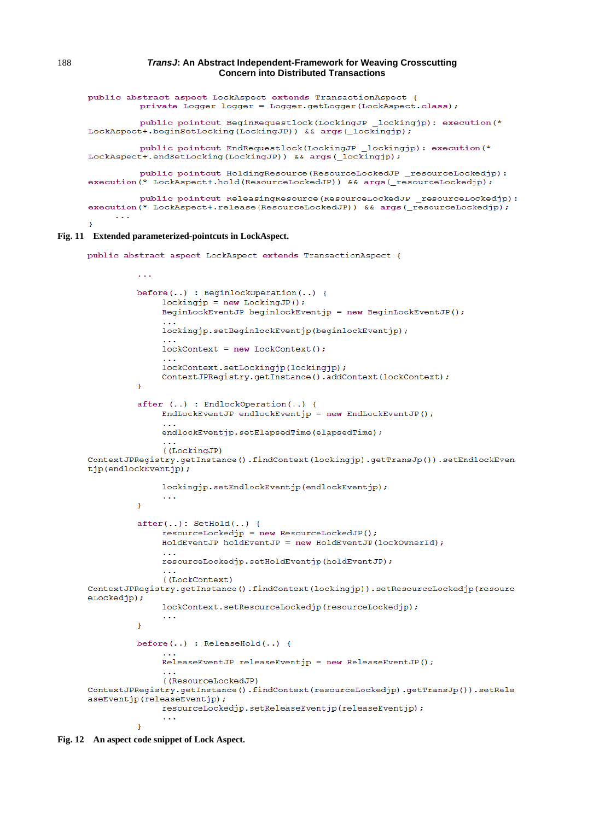```
public abstract aspect LockAspect extends TransactionAspect {
          private Logger logger = Logger.getLogger(LockAspect.class);
          public pointcut BeginRequestlock(LockingJP lockingjp): execution(*
LockAspect+.beginSetLocking(LockingJP)) && args(lockingjp);
          public pointcut EndRequestlock (LockingJP lockingjp): execution (*
LockAspect+.endSetLocking(LockingJP)) && args(lockingjp);
         public pointcut HoldingResource (ResourceLockedJP resourceLockedjp):
execution<sup>(*</sup> LockAspect+.hold(ResourceLockedJP)) && args(_resourceLockedjp);
          public pointcut ReleasingResource(ResourceLockedJP resourceLockedjp):
execution (* LockAspect+.release (ResourceLockedJP)) && args ( resourceLockedjp);
     \sim \sim \simþ,
```
#### **Fig. 11 Extended parameterized-pointcuts in LockAspect.**

 $\sim$   $\sim$   $\sim$ 

```
public abstract aspect LockAspect extends TransactionAspect {
```

```
before(...): BeginlockOperation(..) {
               lockingjp = new LockingJP();
               BeginLockEventJP beginlockEventjp = new BeginLockEventJP();
               lockingjp.setBeginlockEventjp(beginlockEventjp);
               lockContext = new LockContext();lockContext.setLockingjp(lockingjp);
               ContextJPRegistry.getInstance().addContext(lockContext);
          þ,
          after (..): EndlockOperation(..)EndLockEventJP endlockEventjp = new EndLockEventJP();
               endlockEventjp.setElapsedTime(elapsedTime);
               ((LockingJP)
ContextJPRegistry.getInstance().findContext(lockingjp).getTransJp()).setEndlockEven
tjp(endlockEventjp);
               lockingjp.setEndlockEventjp(endlockEventjp);
               \sim 10\bar{1}after(...): SetHold(..) {
               resourceLockedjp = new ResourceLockedJP();
               HoldEventJP holdEventJP = new HoldEventJP (lockOwnerId);
               \sim 100resourceLockedjp.setHoldEventjp(holdEventJP);
               ((LockContext)
ContextJPRegistry.getInstance().findContext(lockingjp)).setResourceLockedjp(resourc
eLockedjp);
               lockContext.setResourceLockedjp(resourceLockedjp);
               \sim 10 \mu\overline{\mathcal{X}}before(..): ReleaseHold(..)ReleaseEventJP releaseEventjp = new ReleaseEventJP();
               ((ResourceLockedJP)
ContextJPRegistry.getInstance().findContext(resourceLockedjp).getTransJp()).setRele
aseEventjp(releaseEventjp);
              resourceLockedjp.setReleaseEventjp(releaseEventjp);
               \sim 10\overline{\mathbf{r}}
```

```
Fig. 12 An aspect code snippet of Lock Aspect.
```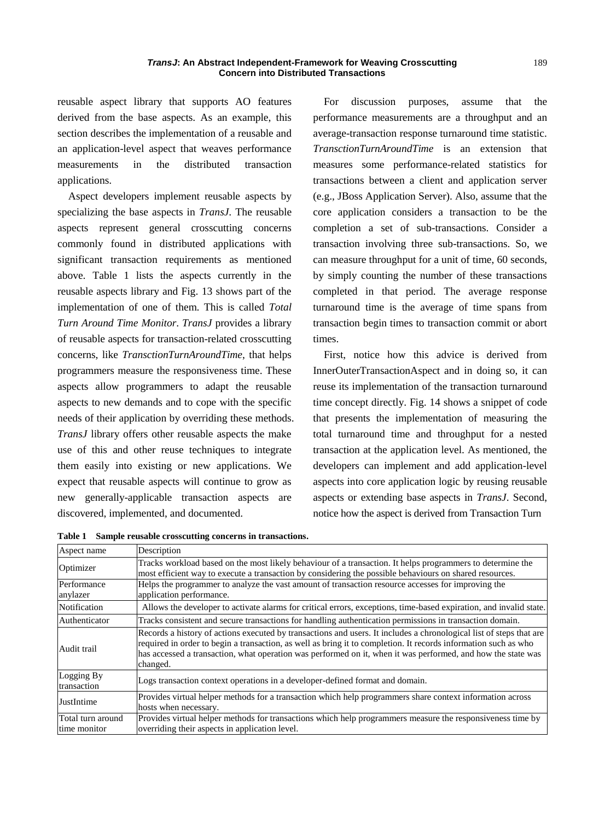reusable aspect library that supports AO features derived from the base aspects. As an example, this section describes the implementation of a reusable and an application-level aspect that weaves performance measurements in the distributed transaction applications.

Aspect developers implement reusable aspects by specializing the base aspects in *TransJ*. The reusable aspects represent general crosscutting concerns commonly found in distributed applications with significant transaction requirements as mentioned above. Table 1 lists the aspects currently in the reusable aspects library and Fig. 13 shows part of the implementation of one of them. This is called *Total Turn Around Time Monitor*. *TransJ* provides a library of reusable aspects for transaction-related crosscutting concerns, like *TransctionTurnAroundTime*, that helps programmers measure the responsiveness time. These aspects allow programmers to adapt the reusable aspects to new demands and to cope with the specific needs of their application by overriding these methods. *TransJ* library offers other reusable aspects the make use of this and other reuse techniques to integrate them easily into existing or new applications. We expect that reusable aspects will continue to grow as new generally-applicable transaction aspects are discovered, implemented, and documented.

For discussion purposes, assume that the performance measurements are a throughput and an average-transaction response turnaround time statistic. *TransctionTurnAroundTime* is an extension that measures some performance-related statistics for transactions between a client and application server (e.g., JBoss Application Server). Also, assume that the core application considers a transaction to be the completion a set of sub-transactions. Consider a transaction involving three sub-transactions. So, we can measure throughput for a unit of time, 60 seconds, by simply counting the number of these transactions completed in that period. The average response turnaround time is the average of time spans from transaction begin times to transaction commit or abort times.

First, notice how this advice is derived from InnerOuterTransactionAspect and in doing so, it can reuse its implementation of the transaction turnaround time concept directly. Fig. 14 shows a snippet of code that presents the implementation of measuring the total turnaround time and throughput for a nested transaction at the application level. As mentioned, the developers can implement and add application-level aspects into core application logic by reusing reusable aspects or extending base aspects in *TransJ*. Second, notice how the aspect is derived from Transaction Turn

| Aspect name                       | Description                                                                                                                                                                                                                                                                                                                                                        |
|-----------------------------------|--------------------------------------------------------------------------------------------------------------------------------------------------------------------------------------------------------------------------------------------------------------------------------------------------------------------------------------------------------------------|
| Optimizer                         | Tracks workload based on the most likely behaviour of a transaction. It helps programmers to determine the<br>most efficient way to execute a transaction by considering the possible behaviours on shared resources.                                                                                                                                              |
| Performance<br>anylazer           | Helps the programmer to analyze the vast amount of transaction resource accesses for improving the<br>application performance.                                                                                                                                                                                                                                     |
| Notification                      | Allows the developer to activate alarms for critical errors, exceptions, time-based expiration, and invalid state.                                                                                                                                                                                                                                                 |
| Authenticator                     | Tracks consistent and secure transactions for handling authentication permissions in transaction domain.                                                                                                                                                                                                                                                           |
| Audit trail                       | Records a history of actions executed by transactions and users. It includes a chronological list of steps that are<br>required in order to begin a transaction, as well as bring it to completion. It records information such as who<br>has accessed a transaction, what operation was performed on it, when it was performed, and how the state was<br>changed. |
| Logging By<br>transaction         | Logs transaction context operations in a developer-defined format and domain.                                                                                                                                                                                                                                                                                      |
| JustIntime                        | Provides virtual helper methods for a transaction which help programmers share context information across<br>hosts when necessary.                                                                                                                                                                                                                                 |
| Total turn around<br>time monitor | Provides virtual helper methods for transactions which help programmers measure the responsiveness time by<br>overriding their aspects in application level.                                                                                                                                                                                                       |

**Table 1 Sample reusable crosscutting concerns in transactions.**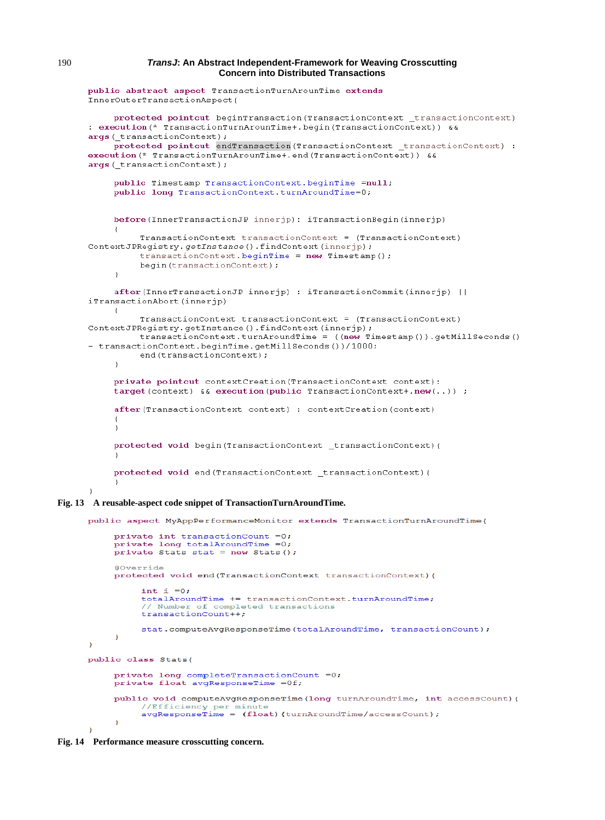```
public abstract aspect TransactionTurnArounTime extends
InnerOuterTransactionAspect{
    protected pointcut beginTransaction(TransactionContext transactionContext)
: execution (* TransactionTurnArounTime+. begin (TransactionContext)) & &
args (transactionContext);
    protected pointcut endTransaction(TransactionContext transactionContext) :
execution (* TransactionTurnArounTime+.end(TransactionContext)) &&
args(_transactionContext);
     public Timestamp TransactionContext.beginTime =null;
    public long TransactionContext.turnAroundTime=0;
    before (InnerTransactionJP innerip): iTransactionBegin(innerip)
          TransactionContext transactionContext = (TransactionContext)
ContextJPReqistry.getInstance().findContext(innerjp);
         transactionContext.beginTime = new Timestamp();
          begin(transactionContext);
     \overline{1}after (InnerTransactionJP innerjp) : iTransactionCommit (innerjp) | |
iTransactionAbort(innerjp)
     \{TransactionContext transactionContext = (TransactionContext)
ContextJPRegistry.getInstance().findContext(innerjp);
         transactionContext.turnAroundTime = ((new Timestamp()).getMillSeconds()
- transactionContext.beginTime.getMillSeconds())/1000;
         end(transactionContext);
     \lambdaprivate pointcut contextCreation(TransactionContext context):
     target (context) && execution (public TransactionContext+.new(..)) ;
     after (TransactionContext context) : contextCreation (context)
     -{
     -1
    protected void begin (TransactionContext _transactionContext) {
    protected void end(TransactionContext _transactionContext){
\lambda
```
#### **Fig. 13 A reusable-aspect code snippet of TransactionTurnAroundTime.**

public aspect MyAppPerformanceMonitor extends TransactionTurnAroundTime{

```
private int transactionCount =0;
     private long totalAroundTime =0;
     private Stats stat = new Stats();
     @Override
     protected void end (TransactionContext transactionContext) {
          int i = 0:
          totalAroundTime += transactionContext.turnAroundTime;
           // Number of completed transactions
          transactionCount++;
          stat.computeAvqResponseTime(totalAroundTime, transactionCount);
     \bar{\rm v}þ,
public class Stats{
     private long completeTransactionCount =0;
     private float avgResponseTime =0f;
     public void computeAvgResponseTime(long turnAroundTime, int accessCount){
          //Efficiency per minute \verb+avgResponseTime = (float) (turnAroundTime/accessCount);-3
<sup>3</sup>
```

```
Fig. 14 Performance measure crosscutting concern.
```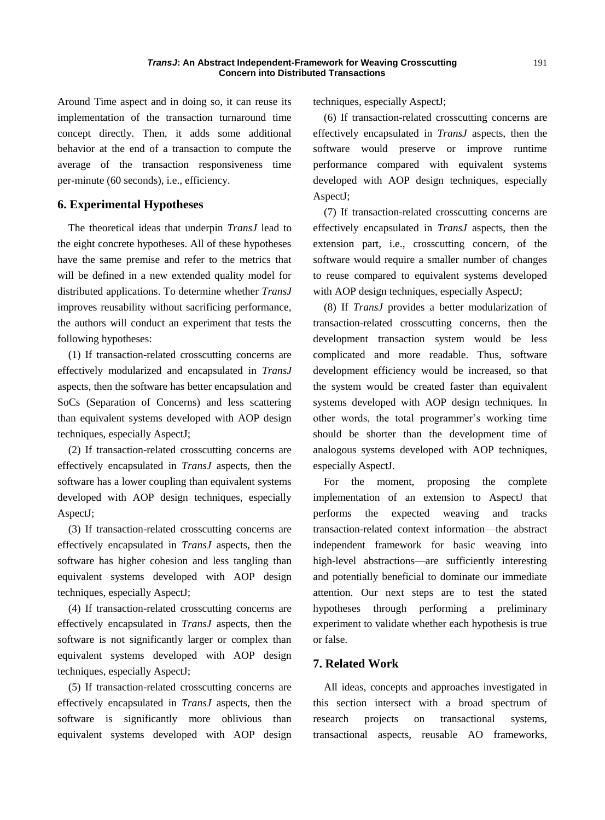Around Time aspect and in doing so, it can reuse its implementation of the transaction turnaround time concept directly. Then, it adds some additional behavior at the end of a transaction to compute the average of the transaction responsiveness time per-minute (60 seconds), i.e., efficiency.

## **6. Experimental Hypotheses**

The theoretical ideas that underpin *TransJ* lead to the eight concrete hypotheses. All of these hypotheses have the same premise and refer to the metrics that will be defined in a new extended quality model for distributed applications. To determine whether *TransJ* improves reusability without sacrificing performance, the authors will conduct an experiment that tests the following hypotheses:

(1) If transaction-related crosscutting concerns are effectively modularized and encapsulated in *TransJ* aspects, then the software has better encapsulation and SoCs (Separation of Concerns) and less scattering than equivalent systems developed with AOP design techniques, especially AspectJ;

(2) If transaction-related crosscutting concerns are effectively encapsulated in *TransJ* aspects, then the software has a lower coupling than equivalent systems developed with AOP design techniques, especially AspectJ;

(3) If transaction-related crosscutting concerns are effectively encapsulated in *TransJ* aspects, then the software has higher cohesion and less tangling than equivalent systems developed with AOP design techniques, especially AspectJ;

(4) If transaction-related crosscutting concerns are effectively encapsulated in *TransJ* aspects, then the software is not significantly larger or complex than equivalent systems developed with AOP design techniques, especially AspectJ;

(5) If transaction-related crosscutting concerns are effectively encapsulated in *TransJ* aspects, then the software is significantly more oblivious than equivalent systems developed with AOP design techniques, especially AspectJ;

(6) If transaction-related crosscutting concerns are effectively encapsulated in *TransJ* aspects, then the software would preserve or improve runtime performance compared with equivalent systems developed with AOP design techniques, especially AspectJ;

(7) If transaction-related crosscutting concerns are effectively encapsulated in *TransJ* aspects, then the extension part, i.e., crosscutting concern, of the software would require a smaller number of changes to reuse compared to equivalent systems developed with AOP design techniques, especially AspectJ;

(8) If *TransJ* provides a better modularization of transaction-related crosscutting concerns, then the development transaction system would be less complicated and more readable. Thus, software development efficiency would be increased, so that the system would be created faster than equivalent systems developed with AOP design techniques. In other words, the total programmer's working time should be shorter than the development time of analogous systems developed with AOP techniques, especially AspectJ.

For the moment, proposing the complete implementation of an extension to AspectJ that performs the expected weaving and tracks transaction-related context information—the abstract independent framework for basic weaving into high-level abstractions—are sufficiently interesting and potentially beneficial to dominate our immediate attention. Our next steps are to test the stated hypotheses through performing a preliminary experiment to validate whether each hypothesis is true or false.

## **7. Related Work**

All ideas, concepts and approaches investigated in this section intersect with a broad spectrum of research projects on transactional systems, transactional aspects, reusable AO frameworks,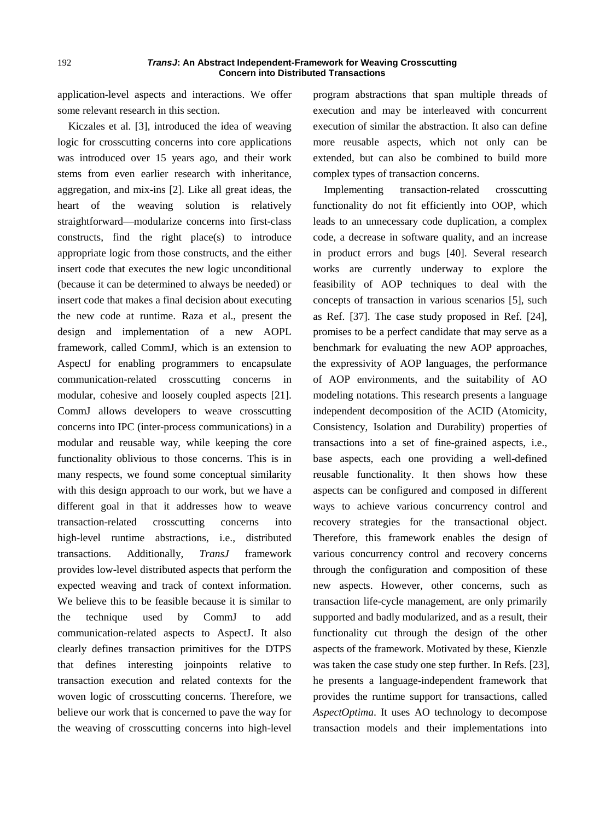application-level aspects and interactions. We offer some relevant research in this section.

Kiczales et al. [\[3\],](#page-21-2) introduced the idea of weaving logic for crosscutting concerns into core applications was introduced over 15 years ago, and their work stems from even earlier research with inheritance, aggregation, and mix-ins [\[2\].](#page-21-1) Like all great ideas, the heart of the weaving solution is relatively straightforward—modularize concerns into first-class constructs, find the right place(s) to introduce appropriate logic from those constructs, and the either insert code that executes the new logic unconditional (because it can be determined to always be needed) or insert code that makes a final decision about executing the new code at runtime. Raza et al., present the design and implementation of a new AOPL framework, called CommJ, which is an extension to AspectJ for enabling programmers to encapsulate communication-related crosscutting concerns in modular, cohesive and loosely coupled aspects [\[21\].](#page-22-5) CommJ allows developers to weave crosscutting concerns into IPC (inter-process communications) in a modular and reusable way, while keeping the core functionality oblivious to those concerns. This is in many respects, we found some conceptual similarity with this design approach to our work, but we have a different goal in that it addresses how to weave transaction-related crosscutting concerns into high-level runtime abstractions, i.e., distributed transactions. Additionally, *TransJ* framework provides low-level distributed aspects that perform the expected weaving and track of context information. We believe this to be feasible because it is similar to the technique used by CommJ to add communication-related aspects to AspectJ. It also clearly defines transaction primitives for the DTPS that defines interesting joinpoints relative to transaction execution and related contexts for the woven logic of crosscutting concerns. Therefore, we believe our work that is concerned to pave the way for the weaving of crosscutting concerns into high-level program abstractions that span multiple threads of execution and may be interleaved with concurrent execution of similar the abstraction. It also can define more reusable aspects, which not only can be extended, but can also be combined to build more complex types of transaction concerns.

Implementing transaction-related crosscutting functionality do not fit efficiently into OOP, which leads to an unnecessary code duplication, a complex code, a decrease in software quality, and an increase in product errors and bugs [\[40\].](#page-22-6) Several research works are currently underway to explore the feasibility of AOP techniques to deal with the concepts of transaction in various scenarios [\[5\],](#page-21-8) such as Ref. [\[37\].](#page-22-7) The case study proposed in Ref. [\[24\],](#page-22-8) promises to be a perfect candidate that may serve as a benchmark for evaluating the new AOP approaches, the expressivity of AOP languages, the performance of AOP environments, and the suitability of AO modeling notations. This research presents a language independent decomposition of the ACID (Atomicity, Consistency, Isolation and Durability) properties of transactions into a set of fine-grained aspects, i.e., base aspects, each one providing a well-defined reusable functionality. It then shows how these aspects can be configured and composed in different ways to achieve various concurrency control and recovery strategies for the transactional object. Therefore, this framework enables the design of various concurrency control and recovery concerns through the configuration and composition of these new aspects. However, other concerns, such as transaction life-cycle management, are only primarily supported and badly modularized, and as a result, their functionality cut through the design of the other aspects of the framework. Motivated by these, Kienzle was taken the case study one step further. In Refs. [\[23\],](#page-22-9) he presents a language-independent framework that provides the runtime support for transactions, called *AspectOptima*. It uses AO technology to decompose transaction models and their implementations into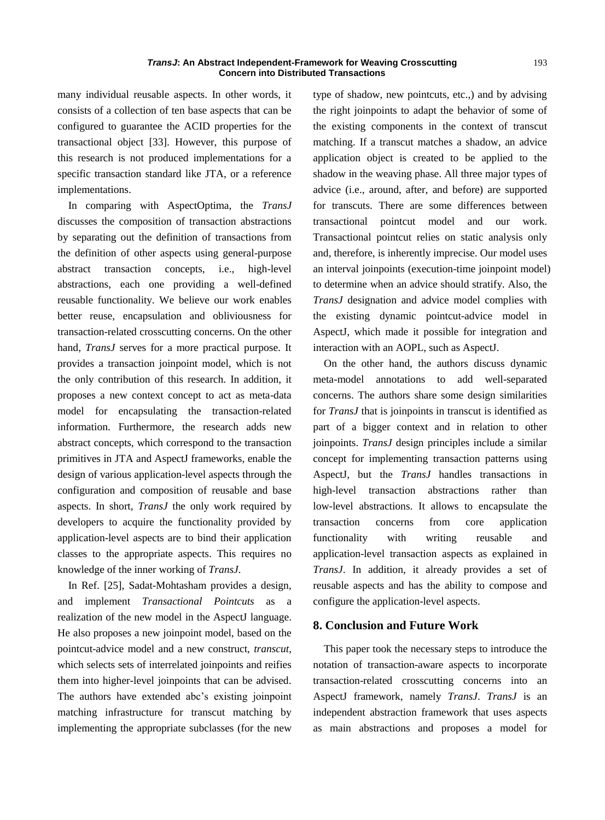many individual reusable aspects. In other words, it consists of a collection of ten base aspects that can be configured to guarantee the ACID properties for the transactional object [\[33\].](#page-22-10) However, this purpose of this research is not produced implementations for a specific transaction standard like JTA, or a reference implementations.

In comparing with AspectOptima, the *TransJ* discusses the composition of transaction abstractions by separating out the definition of transactions from the definition of other aspects using general-purpose abstract transaction concepts, i.e., high-level abstractions, each one providing a well-defined reusable functionality. We believe our work enables better reuse, encapsulation and obliviousness for transaction-related crosscutting concerns. On the other hand, *TransJ* serves for a more practical purpose. It provides a transaction joinpoint model, which is not the only contribution of this research. In addition, it proposes a new context concept to act as meta-data model for encapsulating the transaction-related information. Furthermore, the research adds new abstract concepts, which correspond to the transaction primitives in JTA and AspectJ frameworks, enable the design of various application-level aspects through the configuration and composition of reusable and base aspects. In short, *TransJ* the only work required by developers to acquire the functionality provided by application-level aspects are to bind their application classes to the appropriate aspects. This requires no knowledge of the inner working of *TransJ*.

In Ref. [25], Sadat-Mohtasham provides a design, and implement *Transactional Pointcuts* as a realization of the new model in the AspectJ language. He also proposes a new joinpoint model, based on the pointcut-advice model and a new construct, *transcut*, which selects sets of interrelated joinpoints and reifies them into higher-level joinpoints that can be advised. The authors have extended abc's existing joinpoint matching infrastructure for transcut matching by implementing the appropriate subclasses (for the new

type of shadow, new pointcuts, etc.,) and by advising the right joinpoints to adapt the behavior of some of the existing components in the context of transcut matching. If a transcut matches a shadow, an advice application object is created to be applied to the shadow in the weaving phase. All three major types of advice (i.e., around, after, and before) are supported for transcuts. There are some differences between transactional pointcut model and our work. Transactional pointcut relies on static analysis only and, therefore, is inherently imprecise. Our model uses an interval joinpoints (execution-time joinpoint model) to determine when an advice should stratify. Also, the *TransJ* designation and advice model complies with the existing dynamic pointcut-advice model in AspectJ, which made it possible for integration and interaction with an AOPL, such as AspectJ.

On the other hand, the authors discuss dynamic meta-model annotations to add well-separated concerns. The authors share some design similarities for *TransJ* that is joinpoints in transcut is identified as part of a bigger context and in relation to other joinpoints. *TransJ* design principles include a similar concept for implementing transaction patterns using AspectJ, but the *TransJ* handles transactions in high-level transaction abstractions rather than low-level abstractions. It allows to encapsulate the transaction concerns from core application functionality with writing reusable and application-level transaction aspects as explained in *TransJ*. In addition, it already provides a set of reusable aspects and has the ability to compose and configure the application-level aspects.

## **8. Conclusion and Future Work**

This paper took the necessary steps to introduce the notation of transaction-aware aspects to incorporate transaction-related crosscutting concerns into an AspectJ framework, namely *TransJ*. *TransJ* is an independent abstraction framework that uses aspects as main abstractions and proposes a model for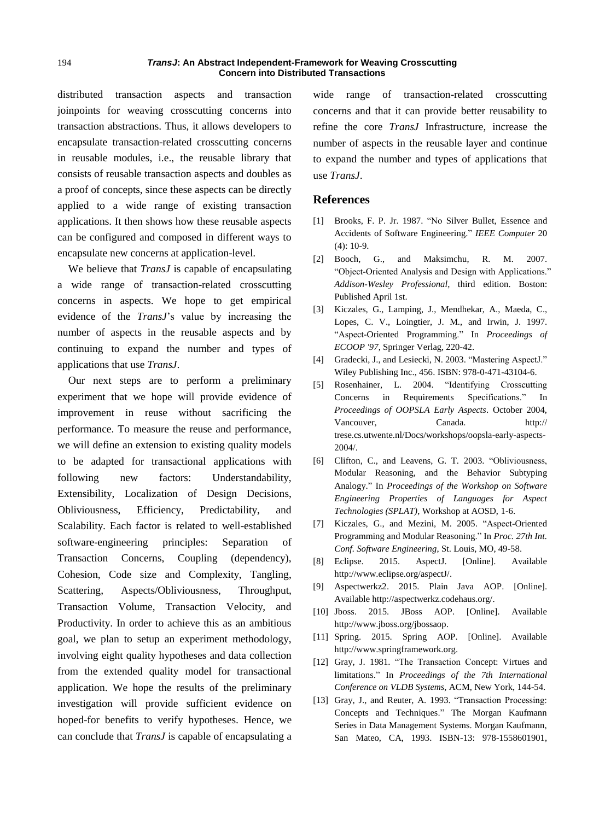distributed transaction aspects and transaction joinpoints for weaving crosscutting concerns into transaction abstractions. Thus, it allows developers to encapsulate transaction-related crosscutting concerns in reusable modules, i.e., the reusable library that consists of reusable transaction aspects and doubles as a proof of concepts, since these aspects can be directly applied to a wide range of existing transaction applications. It then shows how these reusable aspects can be configured and composed in different ways to encapsulate new concerns at application-level.

We believe that *TransJ* is capable of encapsulating a wide range of transaction-related crosscutting concerns in aspects. We hope to get empirical evidence of the *TransJ*'s value by increasing the number of aspects in the reusable aspects and by continuing to expand the number and types of applications that use *TransJ*.

Our next steps are to perform a preliminary experiment that we hope will provide evidence of improvement in reuse without sacrificing the performance. To measure the reuse and performance, we will define an extension to existing quality models to be adapted for transactional applications with following new factors: Understandability, Extensibility, Localization of Design Decisions, Obliviousness, Efficiency, Predictability, and Scalability. Each factor is related to well-established software-engineering principles: Separation of Transaction Concerns, Coupling (dependency), Cohesion, Code size and Complexity, Tangling, Scattering, Aspects/Obliviousness, Throughput, Transaction Volume, Transaction Velocity, and Productivity. In order to achieve this as an ambitious goal, we plan to setup an experiment methodology, involving eight quality hypotheses and data collection from the extended quality model for transactional application. We hope the results of the preliminary investigation will provide sufficient evidence on hoped-for benefits to verify hypotheses. Hence, we can conclude that *TransJ* is capable of encapsulating a

wide range of transaction-related crosscutting concerns and that it can provide better reusability to refine the core *TransJ* Infrastructure, increase the number of aspects in the reusable layer and continue to expand the number and types of applications that use *TransJ*.

## **References**

- <span id="page-21-0"></span>[1] Brooks, F. P. Jr. 1987. "No Silver Bullet, Essence and Accidents of Software Engineering." *IEEE Computer* 20 (4): 10-9.
- <span id="page-21-1"></span>[2] Booch, G., and Maksimchu, R. M. 2007. "Object-Oriented Analysis and Design with Applications." *Addison-Wesley Professional*, third edition. Boston: Published April 1st.
- <span id="page-21-2"></span>[3] Kiczales, G., Lamping, J., Mendhekar, A., Maeda, C., Lopes, C. V., Loingtier, J. M., and Irwin, J. 1997. "Aspect-Oriented Programming." In *Proceedings of ECOOP '97*, Springer Verlag, 220-42.
- <span id="page-21-3"></span>[4] Gradecki, J., and Lesiecki, N. 2003. "Mastering AspectJ." Wiley Publishing Inc., 456. ISBN: 978-0-471-43104-6.
- <span id="page-21-8"></span>[5] Rosenhainer, L. 2004. "Identifying Crosscutting Concerns in Requirements Specifications." In *Proceedings of OOPSLA Early Aspects*. October 2004, Vancouver, Canada. http:// trese.cs.utwente.nl/Docs/workshops/oopsla-early-aspects-2004/.
- <span id="page-21-4"></span>[6] Clifton, C., and Leavens, G. T. 2003. "Obliviousness, Modular Reasoning, and the Behavior Subtyping Analogy." In *Proceedings of the Workshop on Software Engineering Properties of Languages for Aspect Technologies (SPLAT)*, Workshop at AOSD, 1-6.
- <span id="page-21-5"></span>[7] Kiczales, G., and Mezini, M. 2005. "Aspect-Oriented Programming and Modular Reasoning." In *Proc. 27th Int. Conf. Software Engineering*, St. Louis, MO, 49-58.
- <span id="page-21-6"></span>[8] Eclipse. 2015. AspectJ. [Online]. Available http://www.eclipse.org/aspectJ/.
- [9] Aspectwerkz2. 2015. Plain Java AOP. [Online]. Available http://aspectwerkz.codehaus.org/.
- [10] Jboss. 2015. JBoss AOP. [Online]. Available http://www.jboss.org/jbossaop.
- [11] Spring. 2015. Spring AOP. [Online]. Available http://www.springframework.org.
- <span id="page-21-7"></span>[12] Gray, J. 1981. "The Transaction Concept: Virtues and limitations." In *Proceedings of the 7th International Conference on VLDB Systems*, ACM, New York, 144-54.
- [13] Gray, J., and Reuter, A. 1993. "Transaction Processing: Concepts and Techniques." The Morgan Kaufmann Series in Data Management Systems. Morgan Kaufmann, San Mateo, CA, 1993. ISBN-13: 978-1558601901,